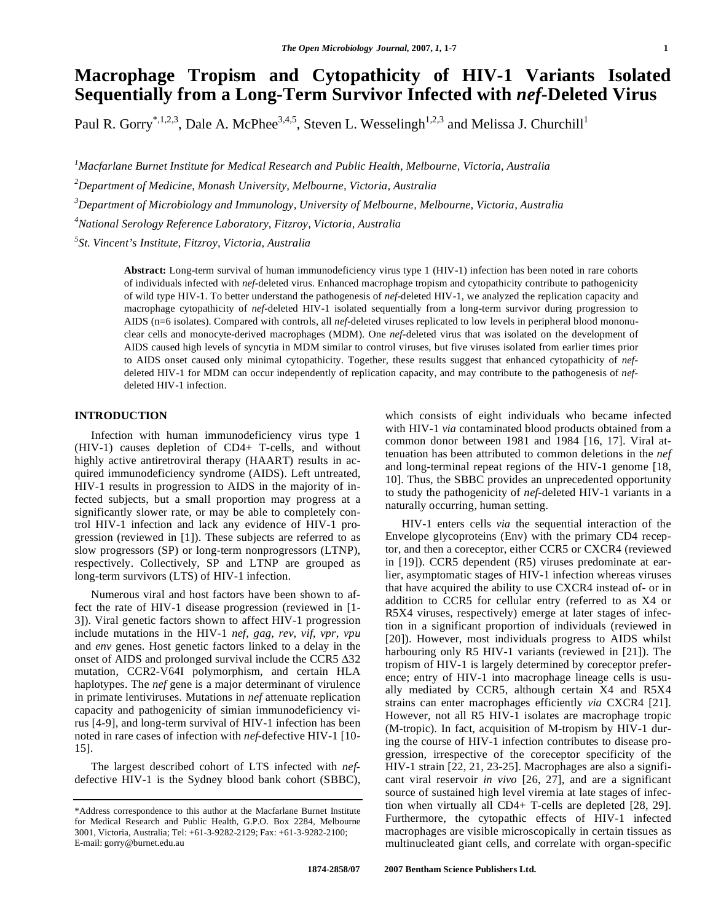# **Macrophage Tropism and Cytopathicity of HIV-1 Variants Isolated Sequentially from a Long-Term Survivor Infected with** *nef***-Deleted Virus**

Paul R. Gorry<sup>\*,1,2,3</sup>, Dale A. McPhee<sup>3,4,5</sup>, Steven L. Wesselingh<sup>1,2,3</sup> and Melissa J. Churchill<sup>1</sup>

*1 Macfarlane Burnet Institute for Medical Research and Public Health, Melbourne, Victoria, Australia* 

*2 Department of Medicine, Monash University, Melbourne, Victoria, Australia* 

*3 Department of Microbiology and Immunology, University of Melbourne, Melbourne, Victoria, Australia* 

*4 National Serology Reference Laboratory, Fitzroy, Victoria, Australia* 

*5 St. Vincent's Institute, Fitzroy, Victoria, Australia* 

**Abstract:** Long-term survival of human immunodeficiency virus type 1 (HIV-1) infection has been noted in rare cohorts of individuals infected with *nef*-deleted virus. Enhanced macrophage tropism and cytopathicity contribute to pathogenicity of wild type HIV-1. To better understand the pathogenesis of *nef*-deleted HIV-1, we analyzed the replication capacity and macrophage cytopathicity of *nef*-deleted HIV-1 isolated sequentially from a long-term survivor during progression to AIDS (n=6 isolates). Compared with controls, all *nef*-deleted viruses replicated to low levels in peripheral blood mononuclear cells and monocyte-derived macrophages (MDM). One *nef*-deleted virus that was isolated on the development of AIDS caused high levels of syncytia in MDM similar to control viruses, but five viruses isolated from earlier times prior to AIDS onset caused only minimal cytopathicity. Together, these results suggest that enhanced cytopathicity of *nef*deleted HIV-1 for MDM can occur independently of replication capacity, and may contribute to the pathogenesis of *nef*deleted HIV-1 infection.

## **INTRODUCTION**

 Infection with human immunodeficiency virus type 1 (HIV-1) causes depletion of CD4+ T-cells, and without highly active antiretroviral therapy (HAART) results in acquired immunodeficiency syndrome (AIDS). Left untreated, HIV-1 results in progression to AIDS in the majority of infected subjects, but a small proportion may progress at a significantly slower rate, or may be able to completely control HIV-1 infection and lack any evidence of HIV-1 progression (reviewed in [1]). These subjects are referred to as slow progressors (SP) or long-term nonprogressors (LTNP), respectively. Collectively, SP and LTNP are grouped as long-term survivors (LTS) of HIV-1 infection.

 Numerous viral and host factors have been shown to affect the rate of HIV-1 disease progression (reviewed in [1- 3]). Viral genetic factors shown to affect HIV-1 progression include mutations in the HIV-1 *nef*, *gag*, *rev*, *vif*, *vpr*, *vpu* and *env* genes. Host genetic factors linked to a delay in the onset of AIDS and prolonged survival include the CCR5  $\Delta$ 32 mutation, CCR2-V64I polymorphism, and certain HLA haplotypes. The *nef* gene is a major determinant of virulence in primate lentiviruses. Mutations in *nef* attenuate replication capacity and pathogenicity of simian immunodeficiency virus [4-9], and long-term survival of HIV-1 infection has been noted in rare cases of infection with *nef*-defective HIV-1 [10- 15].

 The largest described cohort of LTS infected with *nef*defective HIV-1 is the Sydney blood bank cohort (SBBC), which consists of eight individuals who became infected with HIV-1 *via* contaminated blood products obtained from a common donor between 1981 and 1984 [16, 17]. Viral attenuation has been attributed to common deletions in the *nef* and long-terminal repeat regions of the HIV-1 genome [18, 10]. Thus, the SBBC provides an unprecedented opportunity to study the pathogenicity of *nef*-deleted HIV-1 variants in a naturally occurring, human setting.

 HIV-1 enters cells *via* the sequential interaction of the Envelope glycoproteins (Env) with the primary CD4 receptor, and then a coreceptor, either CCR5 or CXCR4 (reviewed in [19]). CCR5 dependent (R5) viruses predominate at earlier, asymptomatic stages of HIV-1 infection whereas viruses that have acquired the ability to use CXCR4 instead of- or in addition to CCR5 for cellular entry (referred to as X4 or R5X4 viruses, respectively) emerge at later stages of infection in a significant proportion of individuals (reviewed in [20]). However, most individuals progress to AIDS whilst harbouring only R5 HIV-1 variants (reviewed in [21]). The tropism of HIV-1 is largely determined by coreceptor preference; entry of HIV-1 into macrophage lineage cells is usually mediated by CCR5, although certain X4 and R5X4 strains can enter macrophages efficiently *via* CXCR4 [21]. However, not all R5 HIV-1 isolates are macrophage tropic (M-tropic). In fact, acquisition of M-tropism by HIV-1 during the course of HIV-1 infection contributes to disease progression, irrespective of the coreceptor specificity of the HIV-1 strain [22, 21, 23-25]. Macrophages are also a significant viral reservoir *in vivo* [26, 27], and are a significant source of sustained high level viremia at late stages of infection when virtually all CD4+ T-cells are depleted [28, 29]. Furthermore, the cytopathic effects of HIV-1 infected macrophages are visible microscopically in certain tissues as multinucleated giant cells, and correlate with organ-specific

<sup>\*</sup>Address correspondence to this author at the Macfarlane Burnet Institute for Medical Research and Public Health, G.P.O. Box 2284, Melbourne 3001, Victoria, Australia; Tel: +61-3-9282-2129; Fax: +61-3-9282-2100; E-mail: gorry@burnet.edu.au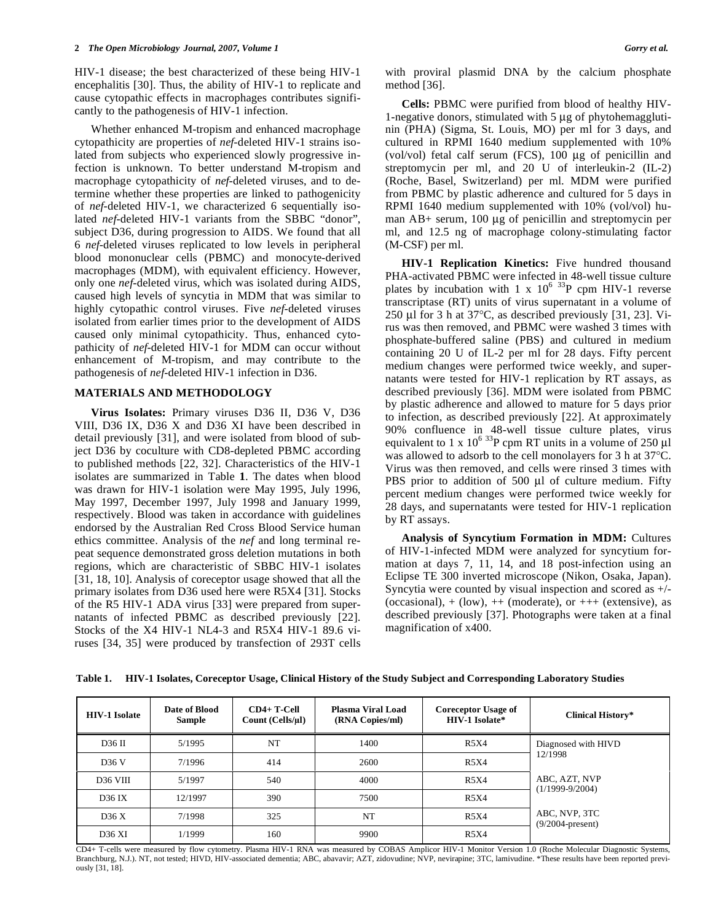HIV-1 disease; the best characterized of these being HIV-1 encephalitis [30]. Thus, the ability of HIV-1 to replicate and cause cytopathic effects in macrophages contributes significantly to the pathogenesis of HIV-1 infection.

 Whether enhanced M-tropism and enhanced macrophage cytopathicity are properties of *nef*-deleted HIV-1 strains isolated from subjects who experienced slowly progressive infection is unknown. To better understand M-tropism and macrophage cytopathicity of *nef*-deleted viruses, and to determine whether these properties are linked to pathogenicity of *nef*-deleted HIV-1, we characterized 6 sequentially isolated *nef*-deleted HIV-1 variants from the SBBC "donor", subject D36, during progression to AIDS. We found that all 6 *nef*-deleted viruses replicated to low levels in peripheral blood mononuclear cells (PBMC) and monocyte-derived macrophages (MDM), with equivalent efficiency. However, only one *nef*-deleted virus, which was isolated during AIDS, caused high levels of syncytia in MDM that was similar to highly cytopathic control viruses. Five *nef*-deleted viruses isolated from earlier times prior to the development of AIDS caused only minimal cytopathicity. Thus, enhanced cytopathicity of *nef*-deleted HIV-1 for MDM can occur without enhancement of M-tropism, and may contribute to the pathogenesis of *nef*-deleted HIV-1 infection in D36.

## **MATERIALS AND METHODOLOGY**

 **Virus Isolates:** Primary viruses D36 II, D36 V, D36 VIII, D36 IX, D36 X and D36 XI have been described in detail previously [31], and were isolated from blood of subject D36 by coculture with CD8-depleted PBMC according to published methods [22, 32]. Characteristics of the HIV-1 isolates are summarized in Table **1**. The dates when blood was drawn for HIV-1 isolation were May 1995, July 1996, May 1997, December 1997, July 1998 and January 1999, respectively. Blood was taken in accordance with guidelines endorsed by the Australian Red Cross Blood Service human ethics committee. Analysis of the *nef* and long terminal repeat sequence demonstrated gross deletion mutations in both regions, which are characteristic of SBBC HIV-1 isolates [31, 18, 10]. Analysis of coreceptor usage showed that all the primary isolates from D36 used here were R5X4 [31]. Stocks of the R5 HIV-1 ADA virus [33] were prepared from supernatants of infected PBMC as described previously [22]. Stocks of the X4 HIV-1 NL4-3 and R5X4 HIV-1 89.6 viruses [34, 35] were produced by transfection of 293T cells with proviral plasmid DNA by the calcium phosphate method [36].

 **Cells:** PBMC were purified from blood of healthy HIV-1-negative donors, stimulated with 5 μg of phytohemagglutinin (PHA) (Sigma, St. Louis, MO) per ml for 3 days, and cultured in RPMI 1640 medium supplemented with 10% (vol/vol) fetal calf serum (FCS), 100 μg of penicillin and streptomycin per ml, and 20 U of interleukin-2 (IL-2) (Roche, Basel, Switzerland) per ml. MDM were purified from PBMC by plastic adherence and cultured for 5 days in RPMI 1640 medium supplemented with 10% (vol/vol) human AB+ serum, 100 μg of penicillin and streptomycin per ml, and 12.5 ng of macrophage colony-stimulating factor (M-CSF) per ml.

 **HIV-1 Replication Kinetics:** Five hundred thousand PHA-activated PBMC were infected in 48-well tissue culture plates by incubation with  $1 \times 10^{6}$  3<sup>3</sup>P cpm HIV-1 reverse transcriptase (RT) units of virus supernatant in a volume of 250 μl for 3 h at 37°C, as described previously [31, 23]. Virus was then removed, and PBMC were washed 3 times with phosphate-buffered saline (PBS) and cultured in medium containing 20 U of IL-2 per ml for 28 days. Fifty percent medium changes were performed twice weekly, and supernatants were tested for HIV-1 replication by RT assays, as described previously [36]. MDM were isolated from PBMC by plastic adherence and allowed to mature for 5 days prior to infection, as described previously [22]. At approximately 90% confluence in 48-well tissue culture plates, virus equivalent to  $1 \times 10^{6}$  33P cpm RT units in a volume of 250  $\mu$ l was allowed to adsorb to the cell monolayers for 3 h at 37°C. Virus was then removed, and cells were rinsed 3 times with PBS prior to addition of 500 μl of culture medium. Fifty percent medium changes were performed twice weekly for 28 days, and supernatants were tested for HIV-1 replication by RT assays.

 **Analysis of Syncytium Formation in MDM:** Cultures of HIV-1-infected MDM were analyzed for syncytium formation at days 7, 11, 14, and 18 post-infection using an Eclipse TE 300 inverted microscope (Nikon, Osaka, Japan). Syncytia were counted by visual inspection and scored as +/- (occasional),  $+$  (low),  $++$  (moderate), or  $++$  (extensive), as described previously [37]. Photographs were taken at a final magnification of x400.

| <b>HIV-1 Isolate</b> | Date of Blood<br><b>Sample</b> | CD4+ T-Cell<br>Count $(Cells/µ)$ | <b>Plasma Viral Load</b><br>(RNA Copies/ml) | <b>Coreceptor Usage of</b><br>HIV-1 Isolate* | <b>Clinical History*</b>             |
|----------------------|--------------------------------|----------------------------------|---------------------------------------------|----------------------------------------------|--------------------------------------|
| D36 II               | 5/1995                         | NT                               | 1400                                        | R5X4                                         | Diagnosed with HIVD                  |
| D <sub>36</sub> V    | 7/1996                         | 414                              | 2600                                        | R5X4                                         | 12/1998                              |
| D <sub>36</sub> VIII | 5/1997                         | 540                              | 4000                                        | R5X4                                         | ABC, AZT, NVP<br>$(1/1999-9/2004)$   |
| D36 IX               | 12/1997                        | 390                              | 7500                                        | R5X4                                         |                                      |
| D36X                 | 7/1998                         | 325                              | NT                                          | R5X4                                         | ABC, NVP, 3TC<br>$(9/2004$ -present) |
| <b>D36 XI</b>        | 1/1999                         | 160                              | 9900                                        | R5X4                                         |                                      |

**Table 1. HIV-1 Isolates, Coreceptor Usage, Clinical History of the Study Subject and Corresponding Laboratory Studies** 

CD4+ T-cells were measured by flow cytometry. Plasma HIV-1 RNA was measured by COBAS Amplicor HIV-1 Monitor Version 1.0 (Roche Molecular Diagnostic Systems, Branchburg, N.J.). NT, not tested; HIVD, HIV-associated dementia; ABC, abavavir; AZT, zidovudine; NVP, nevirapine; 3TC, lamivudine. \*These results have been reported previously [31, 18].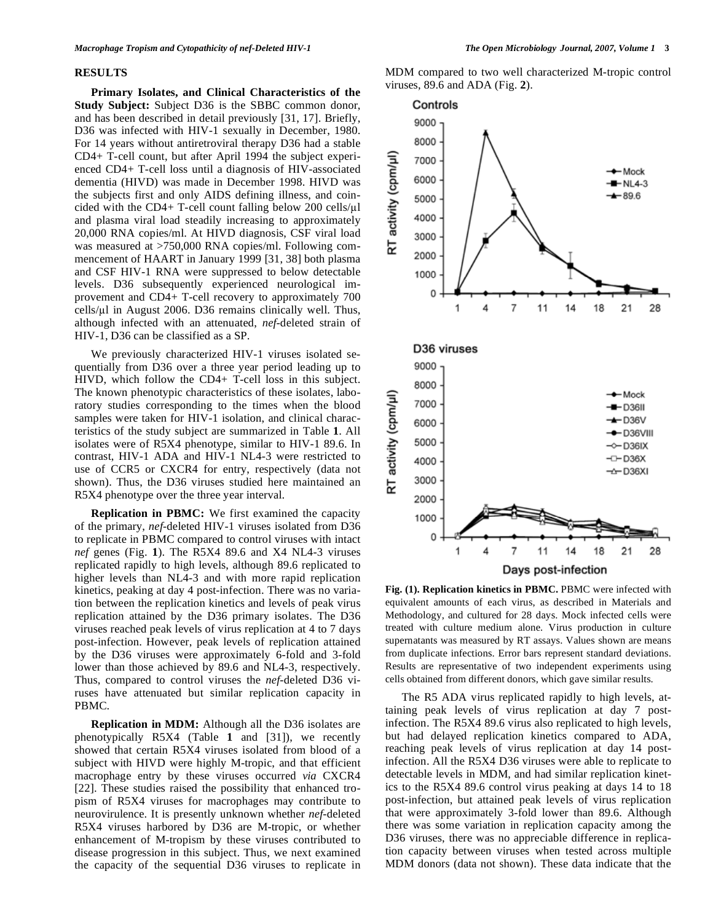#### **RESULTS**

 **Primary Isolates, and Clinical Characteristics of the Study Subject:** Subject D36 is the SBBC common donor, and has been described in detail previously [31, 17]. Briefly, D36 was infected with HIV-1 sexually in December, 1980. For 14 years without antiretroviral therapy D36 had a stable CD4+ T-cell count, but after April 1994 the subject experienced CD4+ T-cell loss until a diagnosis of HIV-associated dementia (HIVD) was made in December 1998. HIVD was the subjects first and only AIDS defining illness, and coincided with the CD4+ T-cell count falling below 200 cells/µl and plasma viral load steadily increasing to approximately 20,000 RNA copies/ml. At HIVD diagnosis, CSF viral load was measured at >750,000 RNA copies/ml. Following commencement of HAART in January 1999 [31, 38] both plasma and CSF HIV-1 RNA were suppressed to below detectable levels. D36 subsequently experienced neurological improvement and CD4+ T-cell recovery to approximately 700  $cells/µ$  in August 2006. D36 remains clinically well. Thus, although infected with an attenuated, *nef*-deleted strain of HIV-1, D36 can be classified as a SP.

 We previously characterized HIV-1 viruses isolated sequentially from D36 over a three year period leading up to HIVD, which follow the CD4+ T-cell loss in this subject. The known phenotypic characteristics of these isolates, laboratory studies corresponding to the times when the blood samples were taken for HIV-1 isolation, and clinical characteristics of the study subject are summarized in Table **1**. All isolates were of R5X4 phenotype, similar to HIV-1 89.6. In contrast, HIV-1 ADA and HIV-1 NL4-3 were restricted to use of CCR5 or CXCR4 for entry, respectively (data not shown). Thus, the D36 viruses studied here maintained an R5X4 phenotype over the three year interval.

 **Replication in PBMC:** We first examined the capacity of the primary, *nef*-deleted HIV-1 viruses isolated from D36 to replicate in PBMC compared to control viruses with intact *nef* genes (Fig. **1**). The R5X4 89.6 and X4 NL4-3 viruses replicated rapidly to high levels, although 89.6 replicated to higher levels than NL4-3 and with more rapid replication kinetics, peaking at day 4 post-infection. There was no variation between the replication kinetics and levels of peak virus replication attained by the D36 primary isolates. The D36 viruses reached peak levels of virus replication at 4 to 7 days post-infection. However, peak levels of replication attained by the D36 viruses were approximately 6-fold and 3-fold lower than those achieved by 89.6 and NL4-3, respectively. Thus, compared to control viruses the *nef*-deleted D36 viruses have attenuated but similar replication capacity in PBMC.

**Replication in MDM:** Although all the D36 isolates are phenotypically R5X4 (Table **1** and [31]), we recently showed that certain R5X4 viruses isolated from blood of a subject with HIVD were highly M-tropic, and that efficient macrophage entry by these viruses occurred *via* CXCR4 [22]. These studies raised the possibility that enhanced tropism of R5X4 viruses for macrophages may contribute to neurovirulence. It is presently unknown whether *nef*-deleted R5X4 viruses harbored by D36 are M-tropic, or whether enhancement of M-tropism by these viruses contributed to disease progression in this subject. Thus, we next examined the capacity of the sequential D36 viruses to replicate in MDM compared to two well characterized M-tropic control viruses, 89.6 and ADA (Fig. **2**).



**Fig. (1). Replication kinetics in PBMC.** PBMC were infected with equivalent amounts of each virus, as described in Materials and Methodology, and cultured for 28 days. Mock infected cells were treated with culture medium alone. Virus production in culture supernatants was measured by RT assays. Values shown are means from duplicate infections. Error bars represent standard deviations. Results are representative of two independent experiments using cells obtained from different donors, which gave similar results.

 The R5 ADA virus replicated rapidly to high levels, attaining peak levels of virus replication at day 7 postinfection. The R5X4 89.6 virus also replicated to high levels, but had delayed replication kinetics compared to ADA, reaching peak levels of virus replication at day 14 postinfection. All the R5X4 D36 viruses were able to replicate to detectable levels in MDM, and had similar replication kinetics to the R5X4 89.6 control virus peaking at days 14 to 18 post-infection, but attained peak levels of virus replication that were approximately 3-fold lower than 89.6. Although there was some variation in replication capacity among the D36 viruses, there was no appreciable difference in replication capacity between viruses when tested across multiple MDM donors (data not shown). These data indicate that the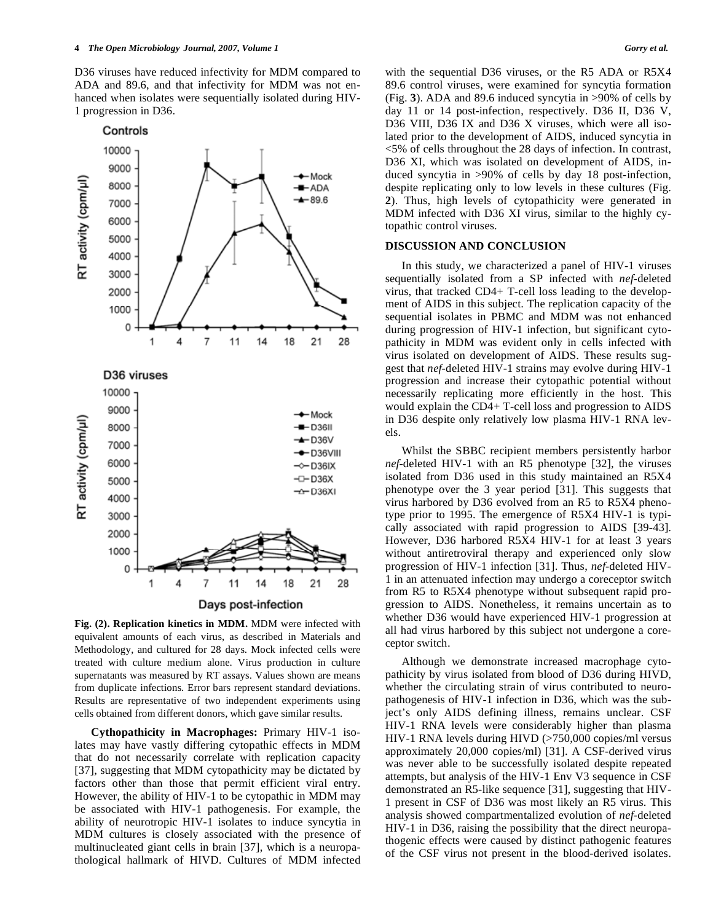D36 viruses have reduced infectivity for MDM compared to ADA and 89.6, and that infectivity for MDM was not enhanced when isolates were sequentially isolated during HIV-1 progression in D36.



**Fig. (2). Replication kinetics in MDM.** MDM were infected with equivalent amounts of each virus, as described in Materials and Methodology, and cultured for 28 days. Mock infected cells were treated with culture medium alone. Virus production in culture supernatants was measured by RT assays. Values shown are means from duplicate infections. Error bars represent standard deviations. Results are representative of two independent experiments using cells obtained from different donors, which gave similar results.

 **Cythopathicity in Macrophages:** Primary HIV-1 isolates may have vastly differing cytopathic effects in MDM that do not necessarily correlate with replication capacity [37], suggesting that MDM cytopathicity may be dictated by factors other than those that permit efficient viral entry. However, the ability of HIV-1 to be cytopathic in MDM may be associated with HIV-1 pathogenesis. For example, the ability of neurotropic HIV-1 isolates to induce syncytia in MDM cultures is closely associated with the presence of multinucleated giant cells in brain [37], which is a neuropathological hallmark of HIVD. Cultures of MDM infected

with the sequential D36 viruses, or the R5 ADA or R5X4 89.6 control viruses, were examined for syncytia formation (Fig. **3**). ADA and 89.6 induced syncytia in >90% of cells by day 11 or 14 post-infection, respectively. D36 II, D36 V, D36 VIII, D36 IX and D36 X viruses, which were all isolated prior to the development of AIDS, induced syncytia in <5% of cells throughout the 28 days of infection. In contrast, D36 XI, which was isolated on development of AIDS, induced syncytia in >90% of cells by day 18 post-infection, despite replicating only to low levels in these cultures (Fig. **2**). Thus, high levels of cytopathicity were generated in MDM infected with D36 XI virus, similar to the highly cytopathic control viruses.

### **DISCUSSION AND CONCLUSION**

 In this study, we characterized a panel of HIV-1 viruses sequentially isolated from a SP infected with *nef*-deleted virus, that tracked CD4+ T-cell loss leading to the development of AIDS in this subject. The replication capacity of the sequential isolates in PBMC and MDM was not enhanced during progression of HIV-1 infection, but significant cytopathicity in MDM was evident only in cells infected with virus isolated on development of AIDS. These results suggest that *nef*-deleted HIV-1 strains may evolve during HIV-1 progression and increase their cytopathic potential without necessarily replicating more efficiently in the host. This would explain the CD4+ T-cell loss and progression to AIDS in D36 despite only relatively low plasma HIV-1 RNA levels.

 Whilst the SBBC recipient members persistently harbor *nef*-deleted HIV-1 with an R5 phenotype [32], the viruses isolated from D36 used in this study maintained an R5X4 phenotype over the 3 year period [31]. This suggests that virus harbored by D36 evolved from an R5 to R5X4 phenotype prior to 1995. The emergence of R5X4 HIV-1 is typically associated with rapid progression to AIDS [39-43]. However, D36 harbored R5X4 HIV-1 for at least 3 years without antiretroviral therapy and experienced only slow progression of HIV-1 infection [31]. Thus, *nef*-deleted HIV-1 in an attenuated infection may undergo a coreceptor switch from R5 to R5X4 phenotype without subsequent rapid progression to AIDS. Nonetheless, it remains uncertain as to whether D36 would have experienced HIV-1 progression at all had virus harbored by this subject not undergone a coreceptor switch.

 Although we demonstrate increased macrophage cytopathicity by virus isolated from blood of D36 during HIVD, whether the circulating strain of virus contributed to neuropathogenesis of HIV-1 infection in D36, which was the subject's only AIDS defining illness, remains unclear. CSF HIV-1 RNA levels were considerably higher than plasma HIV-1 RNA levels during HIVD (>750,000 copies/ml versus approximately 20,000 copies/ml) [31]. A CSF-derived virus was never able to be successfully isolated despite repeated attempts, but analysis of the HIV-1 Env V3 sequence in CSF demonstrated an R5-like sequence [31], suggesting that HIV-1 present in CSF of D36 was most likely an R5 virus. This analysis showed compartmentalized evolution of *nef*-deleted HIV-1 in D36, raising the possibility that the direct neuropathogenic effects were caused by distinct pathogenic features of the CSF virus not present in the blood-derived isolates.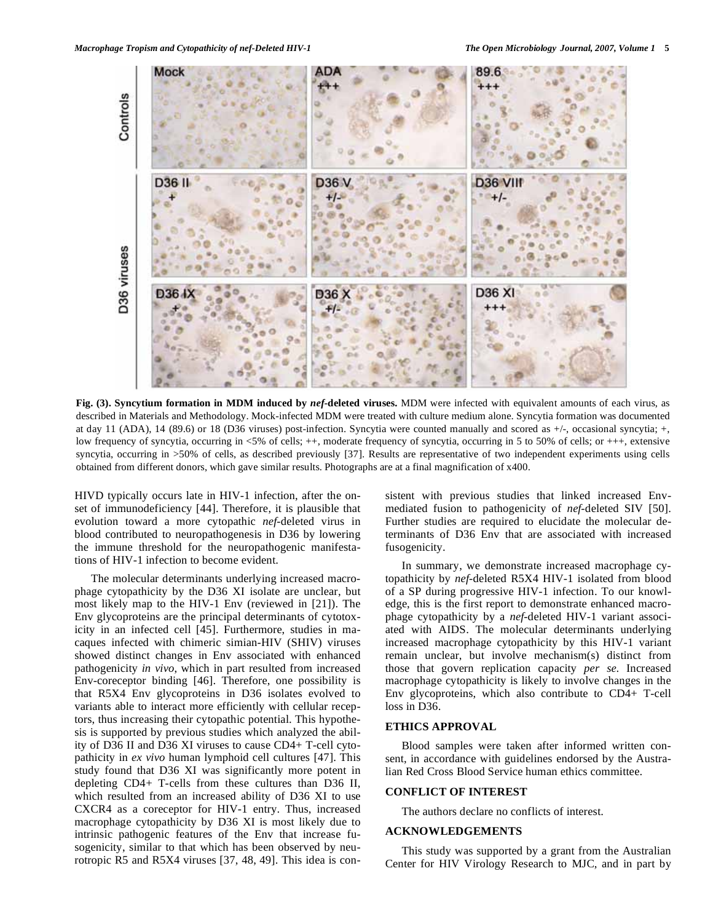

**Fig. (3). Syncytium formation in MDM induced by** *nef***-deleted viruses.** MDM were infected with equivalent amounts of each virus, as described in Materials and Methodology. Mock-infected MDM were treated with culture medium alone. Syncytia formation was documented at day 11 (ADA), 14 (89.6) or 18 (D36 viruses) post-infection. Syncytia were counted manually and scored as +/-, occasional syncytia; +, low frequency of syncytia, occurring in <5% of cells; ++, moderate frequency of syncytia, occurring in 5 to 50% of cells; or +++, extensive syncytia, occurring in >50% of cells, as described previously [37]. Results are representative of two independent experiments using cells obtained from different donors, which gave similar results. Photographs are at a final magnification of x400.

HIVD typically occurs late in HIV-1 infection, after the onset of immunodeficiency [44]. Therefore, it is plausible that evolution toward a more cytopathic *nef*-deleted virus in blood contributed to neuropathogenesis in D36 by lowering the immune threshold for the neuropathogenic manifestations of HIV-1 infection to become evident.

 The molecular determinants underlying increased macrophage cytopathicity by the D36 XI isolate are unclear, but most likely map to the HIV-1 Env (reviewed in [21]). The Env glycoproteins are the principal determinants of cytotoxicity in an infected cell [45]. Furthermore, studies in macaques infected with chimeric simian-HIV (SHIV) viruses showed distinct changes in Env associated with enhanced pathogenicity *in vivo*, which in part resulted from increased Env-coreceptor binding [46]. Therefore, one possibility is that R5X4 Env glycoproteins in D36 isolates evolved to variants able to interact more efficiently with cellular receptors, thus increasing their cytopathic potential. This hypothesis is supported by previous studies which analyzed the ability of D36 II and D36 XI viruses to cause CD4+ T-cell cytopathicity in *ex vivo* human lymphoid cell cultures [47]. This study found that D36 XI was significantly more potent in depleting CD4+ T-cells from these cultures than D36 II, which resulted from an increased ability of D36 XI to use CXCR4 as a coreceptor for HIV-1 entry. Thus, increased macrophage cytopathicity by D36 XI is most likely due to intrinsic pathogenic features of the Env that increase fusogenicity, similar to that which has been observed by neurotropic R5 and R5X4 viruses [37, 48, 49]. This idea is consistent with previous studies that linked increased Envmediated fusion to pathogenicity of *nef*-deleted SIV [50]. Further studies are required to elucidate the molecular determinants of D36 Env that are associated with increased fusogenicity.

 In summary, we demonstrate increased macrophage cytopathicity by *nef*-deleted R5X4 HIV-1 isolated from blood of a SP during progressive HIV-1 infection. To our knowledge, this is the first report to demonstrate enhanced macrophage cytopathicity by a *nef*-deleted HIV-1 variant associated with AIDS. The molecular determinants underlying increased macrophage cytopathicity by this HIV-1 variant remain unclear, but involve mechanism(s) distinct from those that govern replication capacity *per se*. Increased macrophage cytopathicity is likely to involve changes in the Env glycoproteins, which also contribute to CD4+ T-cell loss in D36.

# **ETHICS APPROVAL**

 Blood samples were taken after informed written consent, in accordance with guidelines endorsed by the Australian Red Cross Blood Service human ethics committee.

## **CONFLICT OF INTEREST**

The authors declare no conflicts of interest.

# **ACKNOWLEDGEMENTS**

 This study was supported by a grant from the Australian Center for HIV Virology Research to MJC, and in part by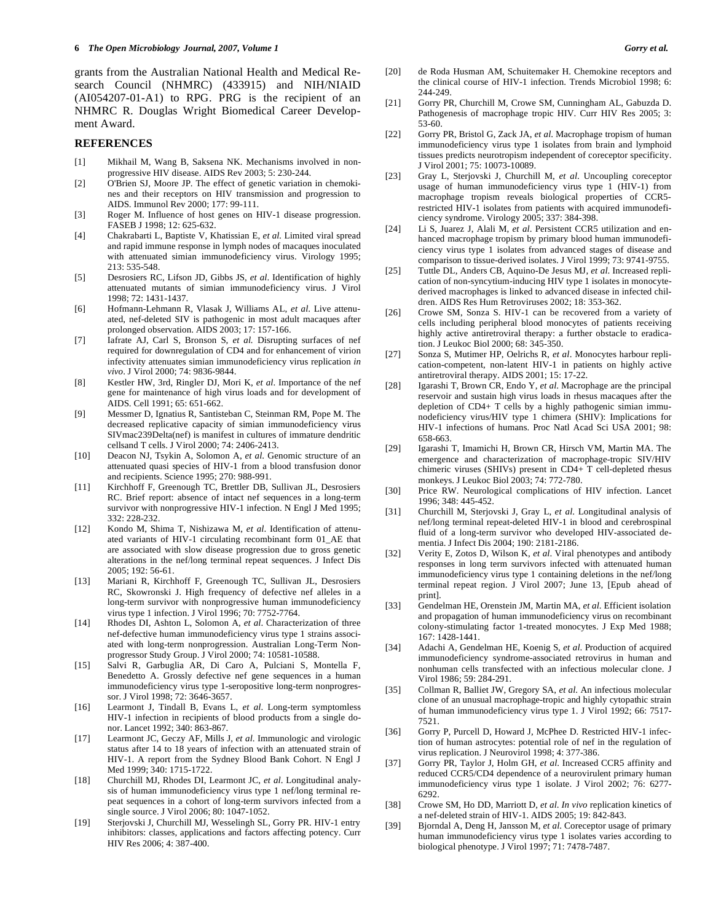grants from the Australian National Health and Medical Research Council (NHMRC) (433915) and NIH/NIAID (AI054207-01-A1) to RPG. PRG is the recipient of an NHMRC R. Douglas Wright Biomedical Career Development Award.

#### **REFERENCES**

- [1] Mikhail M, Wang B, Saksena NK. Mechanisms involved in nonprogressive HIV disease. AIDS Rev 2003; 5: 230-244.
- [2] O'Brien SJ, Moore JP. The effect of genetic variation in chemokines and their receptors on HIV transmission and progression to AIDS. Immunol Rev 2000; 177: 99-111.
- [3] Roger M. Influence of host genes on HIV-1 disease progression. FASEB J 1998; 12: 625-632.
- [4] Chakrabarti L, Baptiste V, Khatissian E, *et al.* Limited viral spread and rapid immune response in lymph nodes of macaques inoculated with attenuated simian immunodeficiency virus. Virology 1995; 213: 535-548.
- [5] Desrosiers RC, Lifson JD, Gibbs JS, *et al*. Identification of highly attenuated mutants of simian immunodeficiency virus. J Virol 1998; 72: 1431-1437.
- [6] Hofmann-Lehmann R, Vlasak J, Williams AL, *et al*. Live attenuated, nef-deleted SIV is pathogenic in most adult macaques after prolonged observation. AIDS 2003; 17: 157-166.
- [7] Iafrate AJ, Carl S, Bronson S, *et al.* Disrupting surfaces of nef required for downregulation of CD4 and for enhancement of virion infectivity attenuates simian immunodeficiency virus replication *in vivo*. J Virol 2000; 74: 9836-9844.
- [8] Kestler HW, 3rd, Ringler DJ, Mori K, *et al*. Importance of the nef gene for maintenance of high virus loads and for development of AIDS. Cell 1991; 65: 651-662.
- [9] Messmer D, Ignatius R, Santisteban C, Steinman RM, Pope M. The decreased replicative capacity of simian immunodeficiency virus SIVmac239Delta(nef) is manifest in cultures of immature dendritic cellsand T cells. J Virol 2000; 74: 2406-2413.
- [10] Deacon NJ, Tsykin A, Solomon A, *et al*. Genomic structure of an attenuated quasi species of HIV-1 from a blood transfusion donor and recipients. Science 1995; 270: 988-991.
- [11] Kirchhoff F, Greenough TC, Brettler DB, Sullivan JL, Desrosiers RC. Brief report: absence of intact nef sequences in a long-term survivor with nonprogressive HIV-1 infection. N Engl J Med 1995; 332: 228-232.
- [12] Kondo M, Shima T, Nishizawa M, *et al*. Identification of attenuated variants of HIV-1 circulating recombinant form 01\_AE that are associated with slow disease progression due to gross genetic alterations in the nef/long terminal repeat sequences. J Infect Dis 2005; 192: 56-61.
- [13] Mariani R, Kirchhoff F, Greenough TC, Sullivan JL, Desrosiers RC, Skowronski J. High frequency of defective nef alleles in a long-term survivor with nonprogressive human immunodeficiency virus type 1 infection. J Virol 1996; 70: 7752-7764.
- [14] Rhodes DI, Ashton L, Solomon A, *et al*. Characterization of three nef-defective human immunodeficiency virus type 1 strains associated with long-term nonprogression. Australian Long-Term Nonprogressor Study Group. J Virol 2000; 74: 10581-10588.
- [15] Salvi R, Garbuglia AR, Di Caro A, Pulciani S, Montella F, Benedetto A. Grossly defective nef gene sequences in a human immunodeficiency virus type 1-seropositive long-term nonprogressor. J Virol 1998; 72: 3646-3657.
- [16] Learmont J, Tindall B, Evans L, *et al*. Long-term symptomless HIV-1 infection in recipients of blood products from a single donor. Lancet 1992; 340: 863-867.
- [17] Learmont JC, Geczy AF, Mills J, *et al*. Immunologic and virologic status after 14 to 18 years of infection with an attenuated strain of HIV-1. A report from the Sydney Blood Bank Cohort. N Engl J Med 1999; 340: 1715-1722.
- [18] Churchill MJ, Rhodes DI, Learmont JC, *et al*. Longitudinal analysis of human immunodeficiency virus type 1 nef/long terminal repeat sequences in a cohort of long-term survivors infected from a single source. J Virol 2006; 80: 1047-1052.
- [19] Sterjovski J, Churchill MJ, Wesselingh SL, Gorry PR. HIV-1 entry inhibitors: classes, applications and factors affecting potency. Curr HIV Res 2006; 4: 387-400.
- [20] de Roda Husman AM, Schuitemaker H. Chemokine receptors and the clinical course of HIV-1 infection. Trends Microbiol 1998; 6: 244-249.
- [21] Gorry PR, Churchill M, Crowe SM, Cunningham AL, Gabuzda D. Pathogenesis of macrophage tropic HIV. Curr HIV Res 2005; 3: 53-60.
- [22] Gorry PR, Bristol G, Zack JA, *et al*. Macrophage tropism of human immunodeficiency virus type 1 isolates from brain and lymphoid tissues predicts neurotropism independent of coreceptor specificity. J Virol 2001; 75: 10073-10089.
- [23] Gray L, Sterjovski J, Churchill M, *et al*. Uncoupling coreceptor usage of human immunodeficiency virus type 1 (HIV-1) from macrophage tropism reveals biological properties of CCR5 restricted HIV-1 isolates from patients with acquired immunodeficiency syndrome. Virology 2005; 337: 384-398.
- [24] Li S, Juarez J, Alali M, *et al*. Persistent CCR5 utilization and enhanced macrophage tropism by primary blood human immunodeficiency virus type 1 isolates from advanced stages of disease and comparison to tissue-derived isolates. J Virol 1999; 73: 9741-9755.
- [25] Tuttle DL, Anders CB, Aquino-De Jesus MJ, *et al*. Increased replication of non-syncytium-inducing HIV type 1 isolates in monocytederived macrophages is linked to advanced disease in infected children. AIDS Res Hum Retroviruses 2002; 18: 353-362.
- [26] Crowe SM, Sonza S. HIV-1 can be recovered from a variety of cells including peripheral blood monocytes of patients receiving highly active antiretroviral therapy: a further obstacle to eradication. J Leukoc Biol 2000; 68: 345-350.
- [27] Sonza S, Mutimer HP, Oelrichs R, *et al*. Monocytes harbour replication-competent, non-latent HIV-1 in patients on highly active antiretroviral therapy. AIDS 2001; 15: 17-22.
- [28] Igarashi T, Brown CR, Endo Y, *et al*. Macrophage are the principal reservoir and sustain high virus loads in rhesus macaques after the depletion of CD4+ T cells by a highly pathogenic simian immunodeficiency virus/HIV type 1 chimera (SHIV): Implications for HIV-1 infections of humans. Proc Natl Acad Sci USA 2001; 98: 658-663.
- [29] Igarashi T, Imamichi H, Brown CR, Hirsch VM, Martin MA. The emergence and characterization of macrophage-tropic SIV/HIV chimeric viruses (SHIVs) present in CD4+ T cell-depleted rhesus monkeys. J Leukoc Biol 2003; 74: 772-780.
- [30] Price RW. Neurological complications of HIV infection. Lancet 1996; 348: 445-452.
- [31] Churchill M, Sterjovski J, Gray L, *et al*. Longitudinal analysis of nef/long terminal repeat-deleted HIV-1 in blood and cerebrospinal fluid of a long-term survivor who developed HIV-associated dementia. J Infect Dis 2004; 190: 2181-2186.
- [32] Verity E, Zotos D, Wilson K, *et al*. Viral phenotypes and antibody responses in long term survivors infected with attenuated human immunodeficiency virus type 1 containing deletions in the nef/long terminal repeat region. J Virol 2007; June 13, [Epub ahead of print].
- [33] Gendelman HE, Orenstein JM, Martin MA, *et al*. Efficient isolation and propagation of human immunodeficiency virus on recombinant colony-stimulating factor 1-treated monocytes. J Exp Med 1988; 167: 1428-1441.
- [34] Adachi A, Gendelman HE, Koenig S, *et al*. Production of acquired immunodeficiency syndrome-associated retrovirus in human and nonhuman cells transfected with an infectious molecular clone. J Virol 1986; 59: 284-291.
- [35] Collman R, Balliet JW, Gregory SA, *et al*. An infectious molecular clone of an unusual macrophage-tropic and highly cytopathic strain of human immunodeficiency virus type 1. J Virol 1992; 66: 7517- 7521.
- [36] Gorry P, Purcell D, Howard J, McPhee D. Restricted HIV-1 infection of human astrocytes: potential role of nef in the regulation of virus replication. J Neurovirol 1998; 4: 377-386.
- [37] Gorry PR, Taylor J, Holm GH, *et al*. Increased CCR5 affinity and reduced CCR5/CD4 dependence of a neurovirulent primary human immunodeficiency virus type 1 isolate. J Virol 2002; 76: 6277- 6292.
- [38] Crowe SM, Ho DD, Marriott D, *et al*. *In vivo* replication kinetics of a nef-deleted strain of HIV-1. AIDS 2005; 19: 842-843.
- [39] Bjorndal A, Deng H, Jansson M, *et al*. Coreceptor usage of primary human immunodeficiency virus type 1 isolates varies according to biological phenotype. J Virol 1997; 71: 7478-7487.